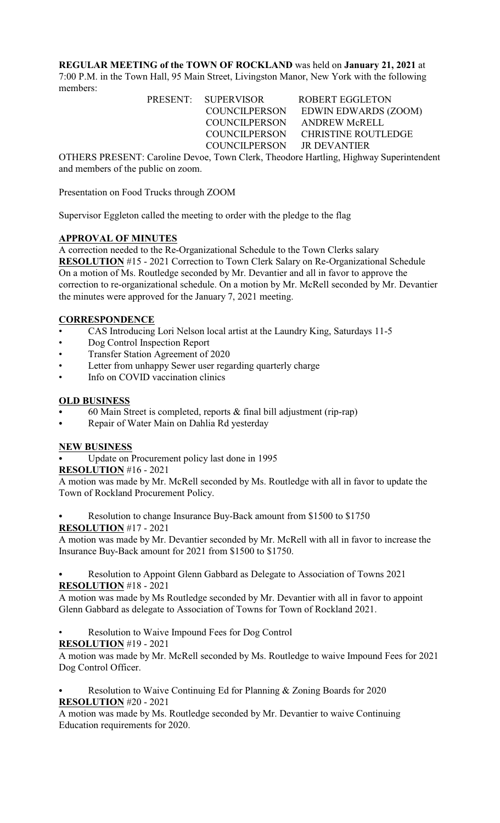**REGULAR MEETING of the TOWN OF ROCKLAND** was held on **January 21, 2021** at 7:00 P.M. in the Town Hall, 95 Main Street, Livingston Manor, New York with the following members:

> PRESENT: SUPERVISOR ROBERT EGGLETON COUNCILPERSON EDWIN EDWARDS (ZOOM) COUNCILPERSON ANDREW McRELL COUNCILPERSON CHRISTINE ROUTLEDGE COUNCILPERSON JR DEVANTIER

OTHERS PRESENT: Caroline Devoe, Town Clerk, Theodore Hartling, Highway Superintendent and members of the public on zoom.

Presentation on Food Trucks through ZOOM

Supervisor Eggleton called the meeting to order with the pledge to the flag

# **APPROVAL OF MINUTES**

A correction needed to the Re-Organizational Schedule to the Town Clerks salary **RESOLUTION** #15 - 2021 Correction to Town Clerk Salary on Re-Organizational Schedule On a motion of Ms. Routledge seconded by Mr. Devantier and all in favor to approve the correction to re-organizational schedule. On a motion by Mr. McRell seconded by Mr. Devantier the minutes were approved for the January 7, 2021 meeting.

# **CORRESPONDENCE**

- CAS Introducing Lori Nelson local artist at the Laundry King, Saturdays 11-5
- Dog Control Inspection Report
- Transfer Station Agreement of 2020
- Letter from unhappy Sewer user regarding quarterly charge
- Info on COVID vaccination clinics

### **OLD BUSINESS**

- 60 Main Street is completed, reports  $&$  final bill adjustment (rip-rap)
- Repair of Water Main on Dahlia Rd yesterday

# **NEW BUSINESS**

Update on Procurement policy last done in 1995

### **RESOLUTION** #16 - 2021

A motion was made by Mr. McRell seconded by Ms. Routledge with all in favor to update the Town of Rockland Procurement Policy.

Resolution to change Insurance Buy-Back amount from \$1500 to \$1750

### **RESOLUTION** #17 - 2021

A motion was made by Mr. Devantier seconded by Mr. McRell with all in favor to increase the Insurance Buy-Back amount for 2021 from \$1500 to \$1750.

# Resolution to Appoint Glenn Gabbard as Delegate to Association of Towns 2021 **RESOLUTION** #18 - 2021

A motion was made by Ms Routledge seconded by Mr. Devantier with all in favor to appoint Glenn Gabbard as delegate to Association of Towns for Town of Rockland 2021.

Resolution to Waive Impound Fees for Dog Control

# **RESOLUTION** #19 - 2021

A motion was made by Mr. McRell seconded by Ms. Routledge to waive Impound Fees for 2021 Dog Control Officer.

# Resolution to Waive Continuing Ed for Planning & Zoning Boards for 2020 **RESOLUTION** #20 - 2021

A motion was made by Ms. Routledge seconded by Mr. Devantier to waive Continuing Education requirements for 2020.